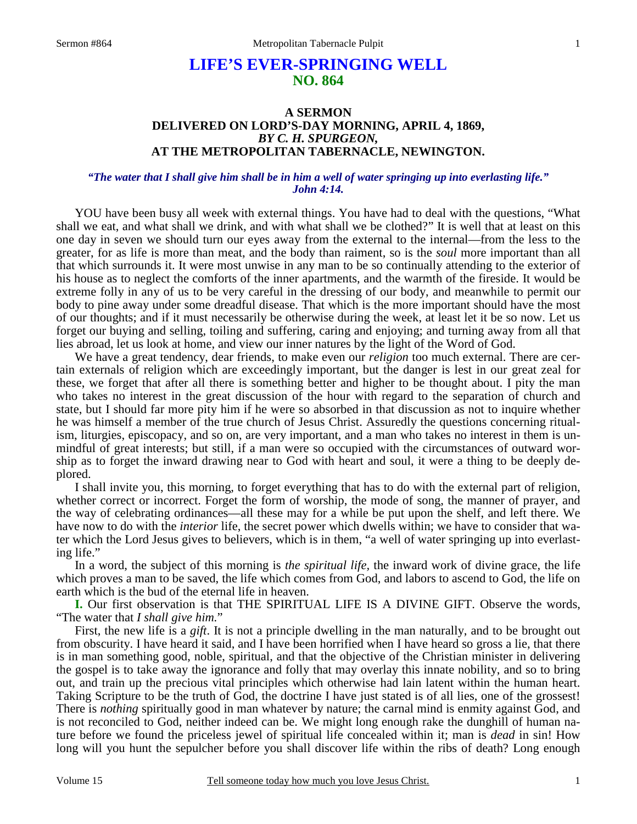# **LIFE'S EVER-SPRINGING WELL NO. 864**

## **A SERMON DELIVERED ON LORD'S-DAY MORNING, APRIL 4, 1869,**  *BY C. H. SPURGEON,*  **AT THE METROPOLITAN TABERNACLE, NEWINGTON.**

### *"The water that I shall give him shall be in him a well of water springing up into everlasting life." John 4:14.*

YOU have been busy all week with external things. You have had to deal with the questions, "What shall we eat, and what shall we drink, and with what shall we be clothed?" It is well that at least on this one day in seven we should turn our eyes away from the external to the internal—from the less to the greater, for as life is more than meat, and the body than raiment, so is the *soul* more important than all that which surrounds it. It were most unwise in any man to be so continually attending to the exterior of his house as to neglect the comforts of the inner apartments, and the warmth of the fireside. It would be extreme folly in any of us to be very careful in the dressing of our body, and meanwhile to permit our body to pine away under some dreadful disease. That which is the more important should have the most of our thoughts; and if it must necessarily be otherwise during the week, at least let it be so now. Let us forget our buying and selling, toiling and suffering, caring and enjoying; and turning away from all that lies abroad, let us look at home, and view our inner natures by the light of the Word of God.

 We have a great tendency, dear friends, to make even our *religion* too much external. There are certain externals of religion which are exceedingly important, but the danger is lest in our great zeal for these, we forget that after all there is something better and higher to be thought about. I pity the man who takes no interest in the great discussion of the hour with regard to the separation of church and state, but I should far more pity him if he were so absorbed in that discussion as not to inquire whether he was himself a member of the true church of Jesus Christ. Assuredly the questions concerning ritualism, liturgies, episcopacy, and so on, are very important, and a man who takes no interest in them is unmindful of great interests; but still, if a man were so occupied with the circumstances of outward worship as to forget the inward drawing near to God with heart and soul, it were a thing to be deeply deplored.

 I shall invite you, this morning, to forget everything that has to do with the external part of religion, whether correct or incorrect. Forget the form of worship, the mode of song, the manner of prayer, and the way of celebrating ordinances—all these may for a while be put upon the shelf, and left there. We have now to do with the *interior* life, the secret power which dwells within; we have to consider that water which the Lord Jesus gives to believers, which is in them, "a well of water springing up into everlasting life."

 In a word, the subject of this morning is *the spiritual life,* the inward work of divine grace, the life which proves a man to be saved, the life which comes from God, and labors to ascend to God, the life on earth which is the bud of the eternal life in heaven.

**I.** Our first observation is that THE SPIRITUAL LIFE IS A DIVINE GIFT. Observe the words, "The water that *I shall give him.*"

 First, the new life is a *gift*. It is not a principle dwelling in the man naturally, and to be brought out from obscurity. I have heard it said, and I have been horrified when I have heard so gross a lie, that there is in man something good, noble, spiritual, and that the objective of the Christian minister in delivering the gospel is to take away the ignorance and folly that may overlay this innate nobility, and so to bring out, and train up the precious vital principles which otherwise had lain latent within the human heart. Taking Scripture to be the truth of God, the doctrine I have just stated is of all lies, one of the grossest! There is *nothing* spiritually good in man whatever by nature; the carnal mind is enmity against God, and is not reconciled to God, neither indeed can be. We might long enough rake the dunghill of human nature before we found the priceless jewel of spiritual life concealed within it; man is *dead* in sin! How long will you hunt the sepulcher before you shall discover life within the ribs of death? Long enough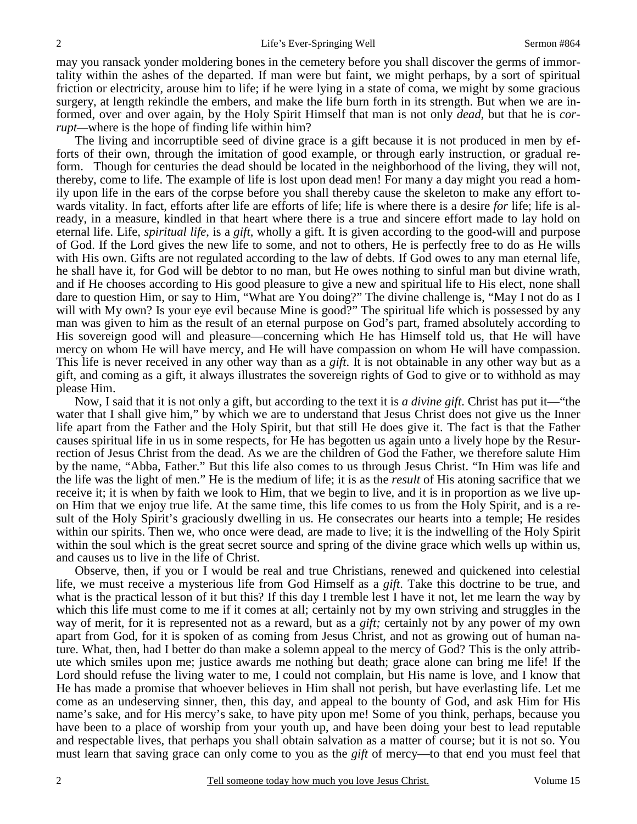may you ransack yonder moldering bones in the cemetery before you shall discover the germs of immortality within the ashes of the departed. If man were but faint, we might perhaps, by a sort of spiritual friction or electricity, arouse him to life; if he were lying in a state of coma, we might by some gracious surgery, at length rekindle the embers, and make the life burn forth in its strength. But when we are informed, over and over again, by the Holy Spirit Himself that man is not only *dead*, but that he is *corrupt—*where is the hope of finding life within him?

 The living and incorruptible seed of divine grace is a gift because it is not produced in men by efforts of their own, through the imitation of good example, or through early instruction, or gradual reform. Though for centuries the dead should be located in the neighborhood of the living, they will not, thereby, come to life. The example of life is lost upon dead men! For many a day might you read a homily upon life in the ears of the corpse before you shall thereby cause the skeleton to make any effort towards vitality. In fact, efforts after life are efforts of life; life is where there is a desire *for* life; life is already, in a measure, kindled in that heart where there is a true and sincere effort made to lay hold on eternal life. Life, *spiritual life*, is a *gift*, wholly a gift. It is given according to the good-will and purpose of God. If the Lord gives the new life to some, and not to others, He is perfectly free to do as He wills with His own. Gifts are not regulated according to the law of debts. If God owes to any man eternal life, he shall have it, for God will be debtor to no man, but He owes nothing to sinful man but divine wrath, and if He chooses according to His good pleasure to give a new and spiritual life to His elect, none shall dare to question Him, or say to Him, "What are You doing?" The divine challenge is, "May I not do as I will with My own? Is your eye evil because Mine is good?" The spiritual life which is possessed by any man was given to him as the result of an eternal purpose on God's part, framed absolutely according to His sovereign good will and pleasure—concerning which He has Himself told us, that He will have mercy on whom He will have mercy, and He will have compassion on whom He will have compassion. This life is never received in any other way than as a *gift*. It is not obtainable in any other way but as a gift, and coming as a gift, it always illustrates the sovereign rights of God to give or to withhold as may please Him.

 Now, I said that it is not only a gift, but according to the text it is *a divine gift*. Christ has put it—"the water that I shall give him," by which we are to understand that Jesus Christ does not give us the Inner life apart from the Father and the Holy Spirit, but that still He does give it. The fact is that the Father causes spiritual life in us in some respects, for He has begotten us again unto a lively hope by the Resurrection of Jesus Christ from the dead. As we are the children of God the Father, we therefore salute Him by the name, "Abba, Father." But this life also comes to us through Jesus Christ. "In Him was life and the life was the light of men." He is the medium of life; it is as the *result* of His atoning sacrifice that we receive it; it is when by faith we look to Him, that we begin to live, and it is in proportion as we live upon Him that we enjoy true life. At the same time, this life comes to us from the Holy Spirit, and is a result of the Holy Spirit's graciously dwelling in us. He consecrates our hearts into a temple; He resides within our spirits. Then we, who once were dead, are made to live; it is the indwelling of the Holy Spirit within the soul which is the great secret source and spring of the divine grace which wells up within us, and causes us to live in the life of Christ.

 Observe, then, if you or I would be real and true Christians, renewed and quickened into celestial life, we must receive a mysterious life from God Himself as a *gift*. Take this doctrine to be true, and what is the practical lesson of it but this? If this day I tremble lest I have it not, let me learn the way by which this life must come to me if it comes at all; certainly not by my own striving and struggles in the way of merit, for it is represented not as a reward, but as a *gift;* certainly not by any power of my own apart from God, for it is spoken of as coming from Jesus Christ, and not as growing out of human nature. What, then, had I better do than make a solemn appeal to the mercy of God? This is the only attribute which smiles upon me; justice awards me nothing but death; grace alone can bring me life! If the Lord should refuse the living water to me, I could not complain, but His name is love, and I know that He has made a promise that whoever believes in Him shall not perish, but have everlasting life. Let me come as an undeserving sinner, then, this day, and appeal to the bounty of God, and ask Him for His name's sake, and for His mercy's sake, to have pity upon me! Some of you think, perhaps, because you have been to a place of worship from your youth up, and have been doing your best to lead reputable and respectable lives, that perhaps you shall obtain salvation as a matter of course; but it is not so. You must learn that saving grace can only come to you as the *gift* of mercy—to that end you must feel that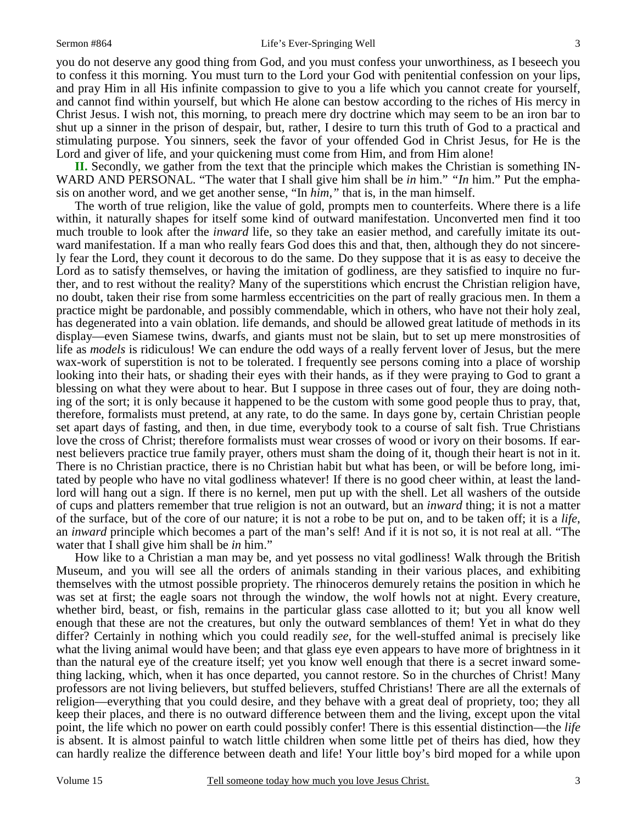you do not deserve any good thing from God, and you must confess your unworthiness, as I beseech you to confess it this morning. You must turn to the Lord your God with penitential confession on your lips, and pray Him in all His infinite compassion to give to you a life which you cannot create for yourself, and cannot find within yourself, but which He alone can bestow according to the riches of His mercy in Christ Jesus. I wish not, this morning, to preach mere dry doctrine which may seem to be an iron bar to shut up a sinner in the prison of despair, but, rather, I desire to turn this truth of God to a practical and stimulating purpose. You sinners, seek the favor of your offended God in Christ Jesus, for He is the Lord and giver of life, and your quickening must come from Him, and from Him alone!

**II.** Secondly, we gather from the text that the principle which makes the Christian is something IN-WARD AND PERSONAL. "The water that I shall give him shall be *in* him." *"In* him." Put the emphasis on another word, and we get another sense, "In *him,"* that is, in the man himself.

 The worth of true religion, like the value of gold, prompts men to counterfeits. Where there is a life within, it naturally shapes for itself some kind of outward manifestation. Unconverted men find it too much trouble to look after the *inward* life, so they take an easier method, and carefully imitate its outward manifestation. If a man who really fears God does this and that, then, although they do not sincerely fear the Lord, they count it decorous to do the same. Do they suppose that it is as easy to deceive the Lord as to satisfy themselves, or having the imitation of godliness, are they satisfied to inquire no further, and to rest without the reality? Many of the superstitions which encrust the Christian religion have, no doubt, taken their rise from some harmless eccentricities on the part of really gracious men. In them a practice might be pardonable, and possibly commendable, which in others, who have not their holy zeal, has degenerated into a vain oblation. life demands, and should be allowed great latitude of methods in its display—even Siamese twins, dwarfs, and giants must not be slain, but to set up mere monstrosities of life as *models* is ridiculous! We can endure the odd ways of a really fervent lover of Jesus, but the mere wax-work of superstition is not to be tolerated. I frequently see persons coming into a place of worship looking into their hats, or shading their eyes with their hands, as if they were praying to God to grant a blessing on what they were about to hear. But I suppose in three cases out of four, they are doing nothing of the sort; it is only because it happened to be the custom with some good people thus to pray, that, therefore, formalists must pretend, at any rate, to do the same. In days gone by, certain Christian people set apart days of fasting, and then, in due time, everybody took to a course of salt fish. True Christians love the cross of Christ; therefore formalists must wear crosses of wood or ivory on their bosoms. If earnest believers practice true family prayer, others must sham the doing of it, though their heart is not in it. There is no Christian practice, there is no Christian habit but what has been, or will be before long, imitated by people who have no vital godliness whatever! If there is no good cheer within, at least the landlord will hang out a sign. If there is no kernel, men put up with the shell. Let all washers of the outside of cups and platters remember that true religion is not an outward, but an *inward* thing; it is not a matter of the surface, but of the core of our nature; it is not a robe to be put on, and to be taken off; it is a *life*, an *inward* principle which becomes a part of the man's self! And if it is not so, it is not real at all. "The water that I shall give him shall be *in* him."

 How like to a Christian a man may be, and yet possess no vital godliness! Walk through the British Museum, and you will see all the orders of animals standing in their various places, and exhibiting themselves with the utmost possible propriety. The rhinoceros demurely retains the position in which he was set at first; the eagle soars not through the window, the wolf howls not at night. Every creature, whether bird, beast, or fish, remains in the particular glass case allotted to it; but you all know well enough that these are not the creatures, but only the outward semblances of them! Yet in what do they differ? Certainly in nothing which you could readily *see*, for the well-stuffed animal is precisely like what the living animal would have been; and that glass eye even appears to have more of brightness in it than the natural eye of the creature itself; yet you know well enough that there is a secret inward something lacking, which, when it has once departed, you cannot restore. So in the churches of Christ! Many professors are not living believers, but stuffed believers, stuffed Christians! There are all the externals of religion—everything that you could desire, and they behave with a great deal of propriety, too; they all keep their places, and there is no outward difference between them and the living, except upon the vital point, the life which no power on earth could possibly confer! There is this essential distinction—the *life* is absent. It is almost painful to watch little children when some little pet of theirs has died, how they can hardly realize the difference between death and life! Your little boy's bird moped for a while upon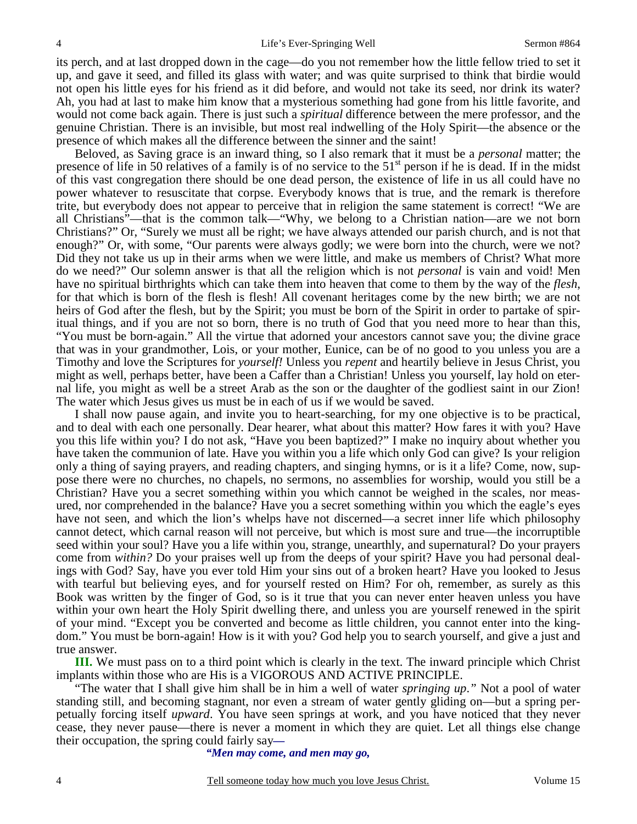its perch, and at last dropped down in the cage—do you not remember how the little fellow tried to set it up, and gave it seed, and filled its glass with water; and was quite surprised to think that birdie would not open his little eyes for his friend as it did before, and would not take its seed, nor drink its water? Ah, you had at last to make him know that a mysterious something had gone from his little favorite, and would not come back again. There is just such a *spiritual* difference between the mere professor, and the genuine Christian. There is an invisible, but most real indwelling of the Holy Spirit—the absence or the presence of which makes all the difference between the sinner and the saint!

 Beloved, as Saving grace is an inward thing, so I also remark that it must be a *personal* matter; the presence of life in 50 relatives of a family is of no service to the 51<sup>st</sup> person if he is dead. If in the midst of this vast congregation there should be one dead person, the existence of life in us all could have no power whatever to resuscitate that corpse. Everybody knows that is true, and the remark is therefore trite, but everybody does not appear to perceive that in religion the same statement is correct! "We are all Christians"—that is the common talk—"Why, we belong to a Christian nation—are we not born Christians?" Or, "Surely we must all be right; we have always attended our parish church, and is not that enough?" Or, with some, "Our parents were always godly; we were born into the church, were we not? Did they not take us up in their arms when we were little, and make us members of Christ? What more do we need?" Our solemn answer is that all the religion which is not *personal* is vain and void! Men have no spiritual birthrights which can take them into heaven that come to them by the way of the *flesh*, for that which is born of the flesh is flesh! All covenant heritages come by the new birth; we are not heirs of God after the flesh, but by the Spirit; you must be born of the Spirit in order to partake of spiritual things, and if you are not so born, there is no truth of God that you need more to hear than this, "You must be born-again." All the virtue that adorned your ancestors cannot save you; the divine grace that was in your grandmother, Lois, or your mother, Eunice, can be of no good to you unless you are a Timothy and love the Scriptures for *yourself!* Unless you *repent* and heartily believe in Jesus Christ, you might as well, perhaps better, have been a Caffer than a Christian! Unless you yourself, lay hold on eternal life, you might as well be a street Arab as the son or the daughter of the godliest saint in our Zion! The water which Jesus gives us must be in each of us if we would be saved.

 I shall now pause again, and invite you to heart-searching, for my one objective is to be practical, and to deal with each one personally. Dear hearer, what about this matter? How fares it with you? Have you this life within you? I do not ask, "Have you been baptized?" I make no inquiry about whether you have taken the communion of late. Have you within you a life which only God can give? Is your religion only a thing of saying prayers, and reading chapters, and singing hymns, or is it a life? Come, now, suppose there were no churches, no chapels, no sermons, no assemblies for worship, would you still be a Christian? Have you a secret something within you which cannot be weighed in the scales, nor measured, nor comprehended in the balance? Have you a secret something within you which the eagle's eyes have not seen, and which the lion's whelps have not discerned—a secret inner life which philosophy cannot detect, which carnal reason will not perceive, but which is most sure and true—the incorruptible seed within your soul? Have you a life within you, strange, unearthly, and supernatural? Do your prayers come from *within?* Do your praises well up from the deeps of your spirit? Have you had personal dealings with God? Say, have you ever told Him your sins out of a broken heart? Have you looked to Jesus with tearful but believing eyes, and for yourself rested on Him? For oh, remember, as surely as this Book was written by the finger of God, so is it true that you can never enter heaven unless you have within your own heart the Holy Spirit dwelling there, and unless you are yourself renewed in the spirit of your mind. "Except you be converted and become as little children, you cannot enter into the kingdom." You must be born-again! How is it with you? God help you to search yourself, and give a just and true answer.

**III.** We must pass on to a third point which is clearly in the text. The inward principle which Christ implants within those who are His is a VIGOROUS AND ACTIVE PRINCIPLE.

 "The water that I shall give him shall be in him a well of water *springing up*.*"* Not a pool of water standing still, and becoming stagnant, nor even a stream of water gently gliding on—but a spring perpetually forcing itself *upward*. You have seen springs at work, and you have noticed that they never cease, they never pause—there is never a moment in which they are quiet. Let all things else change their occupation, the spring could fairly say*—* 

*"Men may come, and men may go,* 

4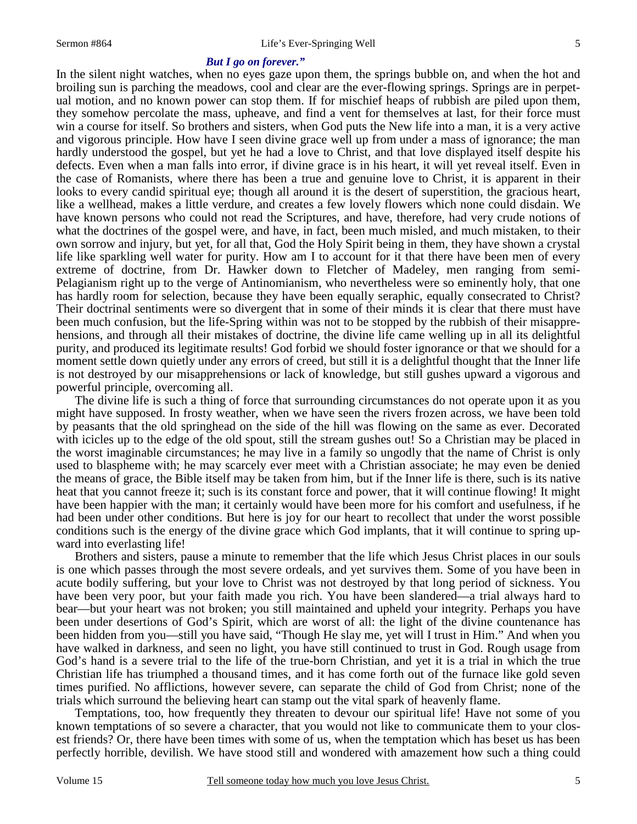#### *But I go on forever."*

In the silent night watches, when no eyes gaze upon them, the springs bubble on, and when the hot and broiling sun is parching the meadows, cool and clear are the ever-flowing springs. Springs are in perpetual motion, and no known power can stop them. If for mischief heaps of rubbish are piled upon them, they somehow percolate the mass, upheave, and find a vent for themselves at last, for their force must win a course for itself. So brothers and sisters, when God puts the New life into a man, it is a very active and vigorous principle. How have I seen divine grace well up from under a mass of ignorance; the man hardly understood the gospel, but yet he had a love to Christ, and that love displayed itself despite his defects. Even when a man falls into error, if divine grace is in his heart, it will yet reveal itself. Even in the case of Romanists, where there has been a true and genuine love to Christ, it is apparent in their looks to every candid spiritual eye; though all around it is the desert of superstition, the gracious heart, like a wellhead, makes a little verdure, and creates a few lovely flowers which none could disdain. We have known persons who could not read the Scriptures, and have, therefore, had very crude notions of what the doctrines of the gospel were, and have, in fact, been much misled, and much mistaken, to their own sorrow and injury, but yet, for all that, God the Holy Spirit being in them, they have shown a crystal life like sparkling well water for purity. How am I to account for it that there have been men of every extreme of doctrine, from Dr. Hawker down to Fletcher of Madeley, men ranging from semi-Pelagianism right up to the verge of Antinomianism, who nevertheless were so eminently holy, that one has hardly room for selection, because they have been equally seraphic, equally consecrated to Christ? Their doctrinal sentiments were so divergent that in some of their minds it is clear that there must have been much confusion, but the life-Spring within was not to be stopped by the rubbish of their misapprehensions, and through all their mistakes of doctrine, the divine life came welling up in all its delightful purity, and produced its legitimate results! God forbid we should foster ignorance or that we should for a moment settle down quietly under any errors of creed, but still it is a delightful thought that the Inner life is not destroyed by our misapprehensions or lack of knowledge, but still gushes upward a vigorous and powerful principle, overcoming all.

 The divine life is such a thing of force that surrounding circumstances do not operate upon it as you might have supposed. In frosty weather, when we have seen the rivers frozen across, we have been told by peasants that the old springhead on the side of the hill was flowing on the same as ever. Decorated with icicles up to the edge of the old spout, still the stream gushes out! So a Christian may be placed in the worst imaginable circumstances; he may live in a family so ungodly that the name of Christ is only used to blaspheme with; he may scarcely ever meet with a Christian associate; he may even be denied the means of grace, the Bible itself may be taken from him, but if the Inner life is there, such is its native heat that you cannot freeze it; such is its constant force and power, that it will continue flowing! It might have been happier with the man; it certainly would have been more for his comfort and usefulness, if he had been under other conditions. But here is joy for our heart to recollect that under the worst possible conditions such is the energy of the divine grace which God implants, that it will continue to spring upward into everlasting life!

 Brothers and sisters, pause a minute to remember that the life which Jesus Christ places in our souls is one which passes through the most severe ordeals, and yet survives them. Some of you have been in acute bodily suffering, but your love to Christ was not destroyed by that long period of sickness. You have been very poor, but your faith made you rich. You have been slandered—a trial always hard to bear—but your heart was not broken; you still maintained and upheld your integrity. Perhaps you have been under desertions of God's Spirit, which are worst of all: the light of the divine countenance has been hidden from you—still you have said, "Though He slay me, yet will I trust in Him." And when you have walked in darkness, and seen no light, you have still continued to trust in God. Rough usage from God's hand is a severe trial to the life of the true-born Christian, and yet it is a trial in which the true Christian life has triumphed a thousand times, and it has come forth out of the furnace like gold seven times purified. No afflictions, however severe, can separate the child of God from Christ; none of the trials which surround the believing heart can stamp out the vital spark of heavenly flame.

 Temptations, too, how frequently they threaten to devour our spiritual life! Have not some of you known temptations of so severe a character, that you would not like to communicate them to your closest friends? Or, there have been times with some of us, when the temptation which has beset us has been perfectly horrible, devilish. We have stood still and wondered with amazement how such a thing could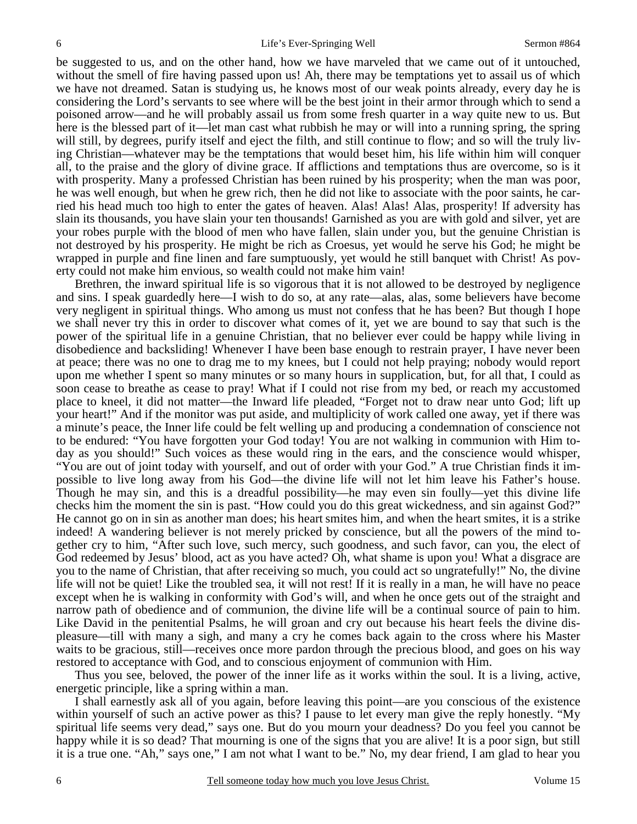be suggested to us, and on the other hand, how we have marveled that we came out of it untouched, without the smell of fire having passed upon us! Ah, there may be temptations yet to assail us of which we have not dreamed. Satan is studying us, he knows most of our weak points already, every day he is considering the Lord's servants to see where will be the best joint in their armor through which to send a poisoned arrow—and he will probably assail us from some fresh quarter in a way quite new to us. But here is the blessed part of it—let man cast what rubbish he may or will into a running spring, the spring will still, by degrees, purify itself and eject the filth, and still continue to flow; and so will the truly living Christian—whatever may be the temptations that would beset him, his life within him will conquer all, to the praise and the glory of divine grace. If afflictions and temptations thus are overcome, so is it with prosperity. Many a professed Christian has been ruined by his prosperity; when the man was poor, he was well enough, but when he grew rich, then he did not like to associate with the poor saints, he carried his head much too high to enter the gates of heaven. Alas! Alas! Alas, prosperity! If adversity has slain its thousands, you have slain your ten thousands! Garnished as you are with gold and silver, yet are your robes purple with the blood of men who have fallen, slain under you, but the genuine Christian is not destroyed by his prosperity. He might be rich as Croesus, yet would he serve his God; he might be wrapped in purple and fine linen and fare sumptuously, yet would he still banquet with Christ! As poverty could not make him envious, so wealth could not make him vain!

 Brethren, the inward spiritual life is so vigorous that it is not allowed to be destroyed by negligence and sins. I speak guardedly here—I wish to do so, at any rate—alas, alas, some believers have become very negligent in spiritual things. Who among us must not confess that he has been? But though I hope we shall never try this in order to discover what comes of it, yet we are bound to say that such is the power of the spiritual life in a genuine Christian, that no believer ever could be happy while living in disobedience and backsliding! Whenever I have been base enough to restrain prayer, I have never been at peace; there was no one to drag me to my knees, but I could not help praying; nobody would report upon me whether I spent so many minutes or so many hours in supplication, but, for all that, I could as soon cease to breathe as cease to pray! What if I could not rise from my bed, or reach my accustomed place to kneel, it did not matter—the Inward life pleaded, "Forget not to draw near unto God; lift up your heart!" And if the monitor was put aside, and multiplicity of work called one away, yet if there was a minute's peace, the Inner life could be felt welling up and producing a condemnation of conscience not to be endured: "You have forgotten your God today! You are not walking in communion with Him today as you should!" Such voices as these would ring in the ears, and the conscience would whisper, "You are out of joint today with yourself, and out of order with your God." A true Christian finds it impossible to live long away from his God—the divine life will not let him leave his Father's house. Though he may sin, and this is a dreadful possibility—he may even sin foully—yet this divine life checks him the moment the sin is past. "How could you do this great wickedness, and sin against God?" He cannot go on in sin as another man does; his heart smites him, and when the heart smites, it is a strike indeed! A wandering believer is not merely pricked by conscience, but all the powers of the mind together cry to him, "After such love, such mercy, such goodness, and such favor, can you, the elect of God redeemed by Jesus' blood, act as you have acted? Oh, what shame is upon you! What a disgrace are you to the name of Christian, that after receiving so much, you could act so ungratefully!" No, the divine life will not be quiet! Like the troubled sea, it will not rest! If it is really in a man, he will have no peace except when he is walking in conformity with God's will, and when he once gets out of the straight and narrow path of obedience and of communion, the divine life will be a continual source of pain to him. Like David in the penitential Psalms, he will groan and cry out because his heart feels the divine displeasure—till with many a sigh, and many a cry he comes back again to the cross where his Master waits to be gracious, still—receives once more pardon through the precious blood, and goes on his way restored to acceptance with God, and to conscious enjoyment of communion with Him.

 Thus you see, beloved, the power of the inner life as it works within the soul. It is a living, active, energetic principle, like a spring within a man.

 I shall earnestly ask all of you again, before leaving this point—are you conscious of the existence within yourself of such an active power as this? I pause to let every man give the reply honestly. "My spiritual life seems very dead," says one. But do you mourn your deadness? Do you feel you cannot be happy while it is so dead? That mourning is one of the signs that you are alive! It is a poor sign, but still it is a true one. "Ah," says one," I am not what I want to be." No, my dear friend, I am glad to hear you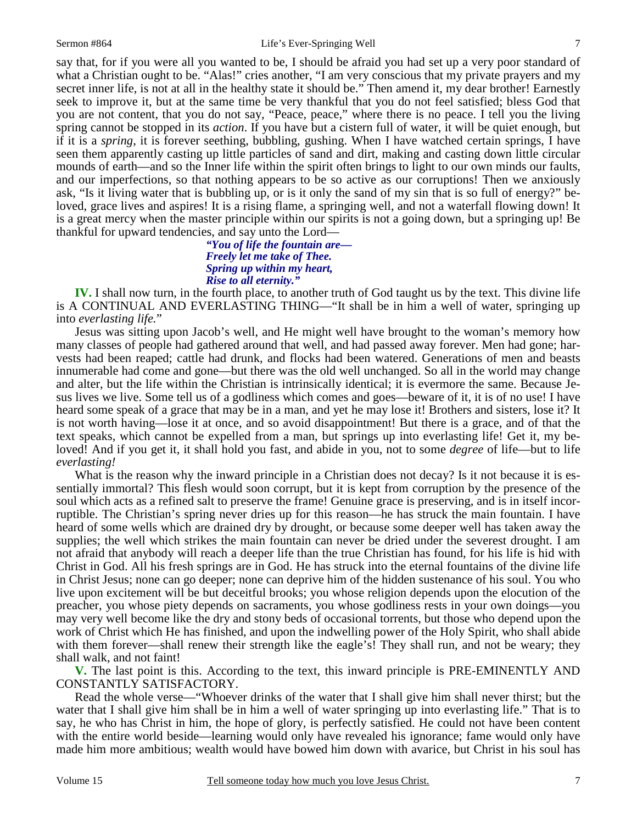say that, for if you were all you wanted to be, I should be afraid you had set up a very poor standard of what a Christian ought to be. "Alas!" cries another, "I am very conscious that my private prayers and my secret inner life, is not at all in the healthy state it should be." Then amend it, my dear brother! Earnestly seek to improve it, but at the same time be very thankful that you do not feel satisfied; bless God that you are not content, that you do not say, "Peace, peace," where there is no peace. I tell you the living spring cannot be stopped in its *action*. If you have but a cistern full of water, it will be quiet enough, but if it is a *spring*, it is forever seething, bubbling, gushing. When I have watched certain springs, I have seen them apparently casting up little particles of sand and dirt, making and casting down little circular mounds of earth—and so the Inner life within the spirit often brings to light to our own minds our faults, and our imperfections, so that nothing appears to be so active as our corruptions! Then we anxiously ask, "Is it living water that is bubbling up, or is it only the sand of my sin that is so full of energy?" beloved, grace lives and aspires! It is a rising flame, a springing well, and not a waterfall flowing down! It is a great mercy when the master principle within our spirits is not a going down, but a springing up! Be thankful for upward tendencies, and say unto the Lord—

## *"You of life the fountain are— Freely let me take of Thee. Spring up within my heart, Rise to all eternity."*

**IV.** I shall now turn, in the fourth place, to another truth of God taught us by the text. This divine life is A CONTINUAL AND EVERLASTING THING—"It shall be in him a well of water, springing up into *everlasting life.*"

 Jesus was sitting upon Jacob's well, and He might well have brought to the woman's memory how many classes of people had gathered around that well, and had passed away forever. Men had gone; harvests had been reaped; cattle had drunk, and flocks had been watered. Generations of men and beasts innumerable had come and gone—but there was the old well unchanged. So all in the world may change and alter, but the life within the Christian is intrinsically identical; it is evermore the same. Because Jesus lives we live. Some tell us of a godliness which comes and goes—beware of it, it is of no use! I have heard some speak of a grace that may be in a man, and yet he may lose it! Brothers and sisters, lose it? It is not worth having—lose it at once, and so avoid disappointment! But there is a grace, and of that the text speaks, which cannot be expelled from a man, but springs up into everlasting life! Get it, my beloved! And if you get it, it shall hold you fast, and abide in you, not to some *degree* of life—but to life *everlasting!* 

What is the reason why the inward principle in a Christian does not decay? Is it not because it is essentially immortal? This flesh would soon corrupt, but it is kept from corruption by the presence of the soul which acts as a refined salt to preserve the frame! Genuine grace is preserving, and is in itself incorruptible. The Christian's spring never dries up for this reason—he has struck the main fountain. I have heard of some wells which are drained dry by drought, or because some deeper well has taken away the supplies; the well which strikes the main fountain can never be dried under the severest drought. I am not afraid that anybody will reach a deeper life than the true Christian has found, for his life is hid with Christ in God. All his fresh springs are in God. He has struck into the eternal fountains of the divine life in Christ Jesus; none can go deeper; none can deprive him of the hidden sustenance of his soul. You who live upon excitement will be but deceitful brooks; you whose religion depends upon the elocution of the preacher, you whose piety depends on sacraments, you whose godliness rests in your own doings—you may very well become like the dry and stony beds of occasional torrents, but those who depend upon the work of Christ which He has finished, and upon the indwelling power of the Holy Spirit, who shall abide with them forever—shall renew their strength like the eagle's! They shall run, and not be weary; they shall walk, and not faint!

**V.** The last point is this. According to the text, this inward principle is PRE-EMINENTLY AND CONSTANTLY SATISFACTORY.

 Read the whole verse—"Whoever drinks of the water that I shall give him shall never thirst; but the water that I shall give him shall be in him a well of water springing up into everlasting life." That is to say, he who has Christ in him, the hope of glory, is perfectly satisfied. He could not have been content with the entire world beside—learning would only have revealed his ignorance; fame would only have made him more ambitious; wealth would have bowed him down with avarice, but Christ in his soul has